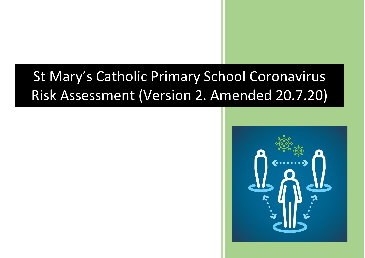## St Mary's Catholic Primary School Coronavirus Risk Assessment (Version 2. Amended 20.7.20)

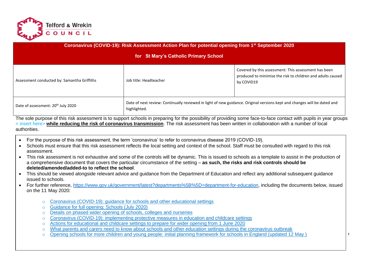

| <b>Coronavirus (COVID-19): Risk Assessment Action Plan for potential opening from 1st September 2020</b><br>for St Mary's Catholic Primary School |                        |                                                                                                                                   |  |  |  |  |  |
|---------------------------------------------------------------------------------------------------------------------------------------------------|------------------------|-----------------------------------------------------------------------------------------------------------------------------------|--|--|--|--|--|
| Assessment conducted by: Samantha Griffiths                                                                                                       | Job title: Headteacher | Covered by this assessment: This assessment has been<br>produced to minimise the risk to children and adults caused<br>by COVID19 |  |  |  |  |  |
| Date of assessment: 20 <sup>th</sup> July 2020                                                                                                    | highlighted.           | Date of next review: Continually reviewed in light of new guidance. Original versions kept and changes will be dated and          |  |  |  |  |  |

The sole purpose of this risk assessment is to support schools in preparing for the possibility of providing some face-to-face contact with pupils in year groups < insert here> **while reducing the risk of coronavirus transmission**. The risk assessment has been written in collaboration with a number of local authorities.

- For the purpose of this risk assessment, the term 'coronavirus' to refer to coronavirus disease 2019 (COVID-19).
- Schools must ensure that this risk assessment reflects the local setting and context of the school. Staff must be consulted with regard to this risk assessment.
- This risk assessment is not exhaustive and some of the controls will be dynamic. This is issued to schools as a template to assist in the production of a comprehensive document that covers the particular circumstance of the setting – **as such, the risks and risk controls should be deleted/amended/added-to to reflect the school**.
- This should be viewed alongside relevant advice and guidance from the Department of Education and reflect any additional subsequent guidance issued to schools.
- For further reference, [https://www.gov.uk/government/latest?departments%5B%5D=department-for-education,](https://www.gov.uk/government/latest?departments%5B%5D=department-for-education) including the documents below, issued on the 11 May 2020:
	- $\circ$  Coronavirus (COVID-19): quidance for schools and other educational settings
	- o Guidance for full opening: Schools (July 2020)
	- o [Details on phased wider opening of schools, colleges and nurseries](https://www.gov.uk/government/news/details-on-phased-wider-opening-of-schools-colleges-and-nurseries)
	- o [Coronavirus \(COVID-19\): implementing protective measures in education and childcare settings](https://www.gov.uk/government/publications/coronavirus-covid-19-implementing-protective-measures-in-education-and-childcare-settings)
	- o [Actions for educational and childcare settings to prepare for wider opening from 1 June 2020](https://www.gov.uk/government/publications/actions-for-educational-and-childcare-settings-to-prepare-for-wider-opening-from-1-june-2020)
	- o [What parents and carers need to know about schools and other education settings during the coronavirus outbreak](https://www.gov.uk/government/publications/closure-of-educational-settings-information-for-parents-and-carers)
	- $\circ$  Opening schools for more children and young people: initial planning framework for schools in England (updated 12 May )  $\vert$  1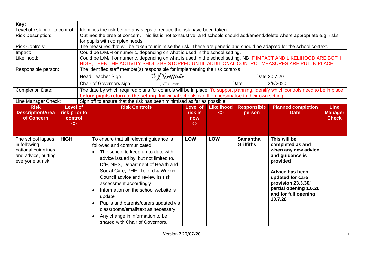| Key:                           |                   |                                                                                                                                  |                   |                   |                    |                                              |                |
|--------------------------------|-------------------|----------------------------------------------------------------------------------------------------------------------------------|-------------------|-------------------|--------------------|----------------------------------------------|----------------|
| Level of risk prior to control |                   | Identifies the risk before any steps to reduce the risk have been taken                                                          |                   |                   |                    |                                              |                |
| <b>Risk Description:</b>       |                   | Outlines the area of concern. This list is not exhaustive, and schools should add/amend/delete where appropriate e.g. risks      |                   |                   |                    |                                              |                |
|                                |                   | for pupils with complex needs.                                                                                                   |                   |                   |                    |                                              |                |
| <b>Risk Controls:</b>          |                   | The measures that will be taken to minimise the risk. These are generic and should be adapted for the school context.            |                   |                   |                    |                                              |                |
| Impact:                        |                   | Could be L/M/H or numeric, depending on what is used in the school setting.                                                      |                   |                   |                    |                                              |                |
| Likelihood:                    |                   | Could be L/M/H or numeric, depending on what is used in the school setting. NB IF IMPACT AND LIKELIHOOD ARE BOTH                 |                   |                   |                    |                                              |                |
|                                |                   | HIGH, THEN THE ACTIVITY SHOLD BE STOPPED UNTIL ADDITIONAL CONTROL MEASURES ARE PUT IN PLACE.                                     |                   |                   |                    |                                              |                |
| Responsible person:            |                   | The identified staff member(s) responsible for implementing the risk controls                                                    |                   |                   |                    |                                              |                |
|                                |                   |                                                                                                                                  |                   |                   |                    |                                              |                |
|                                |                   |                                                                                                                                  |                   |                   |                    |                                              |                |
| <b>Completion Date:</b>        |                   | The date by which required plans for controls will be in place. To support planning, identify which controls need to be in place |                   |                   |                    |                                              |                |
|                                |                   | before pupils return to the setting. Individual schools can then personalise to their own setting.                               |                   |                   |                    |                                              |                |
| Line Manager Check:            |                   | Sign off to ensure that the risk has been minimised as far as possible.                                                          |                   |                   |                    |                                              |                |
| <b>Risk</b>                    | <b>Level of</b>   | <b>Risk Controls</b>                                                                                                             | Level of          | <b>Likelihood</b> | <b>Responsible</b> | <b>Planned completion</b>                    | <b>Line</b>    |
| <b>Description/Area</b>        | risk prior to     |                                                                                                                                  | risk is           | $\leftrightarrow$ | person             | <b>Date</b>                                  | <b>Manager</b> |
| of Concern                     | control           |                                                                                                                                  | now               |                   |                    |                                              | <b>Check</b>   |
|                                | $\leftrightarrow$ |                                                                                                                                  | $\leftrightarrow$ |                   |                    |                                              |                |
|                                |                   |                                                                                                                                  |                   |                   |                    |                                              |                |
| The school lapses              | <b>HIGH</b>       | To ensure that all relevant guidance is                                                                                          | <b>LOW</b>        | <b>LOW</b>        | <b>Samantha</b>    | This will be                                 |                |
| in following                   |                   | followed and communicated:                                                                                                       |                   |                   | <b>Griffiths</b>   | completed as and                             |                |
| national guidelines            |                   | The school to keep up-to-date with                                                                                               |                   |                   |                    | when any new advice                          |                |
| and advice, putting            |                   | advice issued by, but not limited to,                                                                                            |                   |                   |                    | and guidance is                              |                |
| everyone at risk               |                   | DfE, NHS, Department of Health and                                                                                               |                   |                   |                    | provided                                     |                |
|                                |                   | Social Care, PHE, Telford & Wrekin                                                                                               |                   |                   |                    |                                              |                |
|                                |                   | Council advice and review its risk                                                                                               |                   |                   |                    | <b>Advice has been</b>                       |                |
|                                |                   |                                                                                                                                  |                   |                   |                    | updated for care                             |                |
|                                |                   | assessment accordingly                                                                                                           |                   |                   |                    | provision 23.3.30/<br>partial opening 1.6.20 |                |
|                                |                   | Information on the school website is<br>$\bullet$                                                                                |                   |                   |                    | and for full opening                         |                |
|                                |                   | update                                                                                                                           |                   |                   |                    | 10.7.20                                      |                |
|                                |                   | $\bullet$                                                                                                                        |                   |                   |                    |                                              |                |
|                                |                   | Pupils and parents/carers updated via                                                                                            |                   |                   |                    |                                              |                |
|                                |                   | classrooms/email/text as necessary.                                                                                              |                   |                   |                    |                                              |                |
|                                |                   | Any change in information to be                                                                                                  |                   |                   |                    |                                              |                |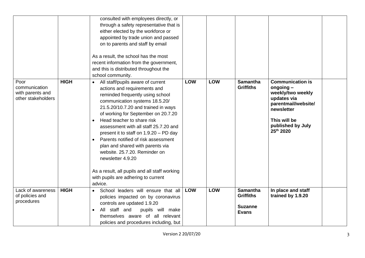|                                                                 |             | consulted with employees directly, or<br>through a safety representative that is<br>either elected by the workforce or<br>appointed by trade union and passed<br>on to parents and staff by email<br>As a result, the school has the most<br>recent information from the government,<br>and this is distributed throughout the<br>school community.                                                                                                                                                                                                                                                               |            |            |                                     |                                                                                                                                                                   |  |
|-----------------------------------------------------------------|-------------|-------------------------------------------------------------------------------------------------------------------------------------------------------------------------------------------------------------------------------------------------------------------------------------------------------------------------------------------------------------------------------------------------------------------------------------------------------------------------------------------------------------------------------------------------------------------------------------------------------------------|------------|------------|-------------------------------------|-------------------------------------------------------------------------------------------------------------------------------------------------------------------|--|
| Poor<br>communication<br>with parents and<br>other stakeholders | <b>HIGH</b> | All staff/pupils aware of current<br>$\bullet$<br>actions and requirements and<br>reminded frequently using school<br>communication systems 18.5.20/<br>21.5.20/10.7.20 and trained in ways<br>of working for September on 20.7.20<br>Head teacher to share risk<br>$\bullet$<br>assessment with all staff 25.7.20 and<br>present it to staff on 1.9.20 - PD day<br>Parents notified of risk assessment<br>$\bullet$<br>plan and shared with parents via<br>website. 25.7.20. Reminder on<br>newsletter 4.9.20<br>As a result, all pupils and all staff working<br>with pupils are adhering to current<br>advice. | <b>LOW</b> | <b>LOW</b> | <b>Samantha</b><br><b>Griffiths</b> | <b>Communication is</b><br>$ongoing -$<br>weekly/two weekly<br>updates via<br>parentmail/website/<br>newsletter<br>This will be<br>published by July<br>25th 2020 |  |
| Lack of awareness<br>of policies and                            | <b>HIGH</b> | School leaders will ensure that all<br>$\bullet$                                                                                                                                                                                                                                                                                                                                                                                                                                                                                                                                                                  | LOW        | <b>LOW</b> | <b>Samantha</b><br><b>Griffiths</b> | In place and staff<br>trained by 1.9.20                                                                                                                           |  |
| procedures                                                      |             | policies impacted on by coronavirus<br>controls are updated 1.9.20<br>All staff and<br>pupils will make<br>$\bullet$                                                                                                                                                                                                                                                                                                                                                                                                                                                                                              |            |            | <b>Suzanne</b><br><b>Evans</b>      |                                                                                                                                                                   |  |
|                                                                 |             | themselves aware of all relevant<br>policies and procedures including, but                                                                                                                                                                                                                                                                                                                                                                                                                                                                                                                                        |            |            |                                     |                                                                                                                                                                   |  |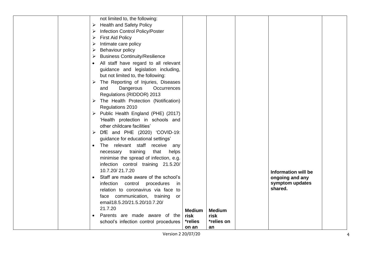| not limited to, the following:                     |               |               |                            |  |
|----------------------------------------------------|---------------|---------------|----------------------------|--|
| <b>Health and Safety Policy</b><br>➤               |               |               |                            |  |
| <b>Infection Control Policy/Poster</b><br>➤        |               |               |                            |  |
| <b>First Aid Policy</b><br>≻                       |               |               |                            |  |
| Intimate care policy<br>➤                          |               |               |                            |  |
| <b>Behaviour policy</b><br>➤                       |               |               |                            |  |
| <b>Business Continuity/Resilience</b><br>➤         |               |               |                            |  |
| All staff have regard to all relevant<br>$\bullet$ |               |               |                            |  |
| guidance and legislation including,                |               |               |                            |  |
| but not limited to, the following:                 |               |               |                            |  |
| The Reporting of Injuries, Diseases<br>➤           |               |               |                            |  |
| Dangerous<br>Occurrences<br>and                    |               |               |                            |  |
| Regulations (RIDDOR) 2013                          |               |               |                            |  |
| The Health Protection (Notification)<br>➤          |               |               |                            |  |
| Regulations 2010                                   |               |               |                            |  |
| Public Health England (PHE) (2017)<br>➤            |               |               |                            |  |
| 'Health protection in schools and                  |               |               |                            |  |
| other childcare facilities'                        |               |               |                            |  |
| DfE and PHE (2020) 'COVID-19:<br>➤                 |               |               |                            |  |
| guidance for educational settings'                 |               |               |                            |  |
| The relevant staff receive any<br>$\bullet$        |               |               |                            |  |
| training<br>that<br>helps<br>necessary             |               |               |                            |  |
| minimise the spread of infection, e.g.             |               |               |                            |  |
| infection control training 21.5.20/                |               |               |                            |  |
| 10.7.20/21.7.20                                    |               |               | <b>Information will be</b> |  |
| Staff are made aware of the school's<br>$\bullet$  |               |               | ongoing and any            |  |
| infection control procedures<br>in                 |               |               | symptom updates            |  |
| relation to coronavirus via face to                |               |               | shared.                    |  |
| face communication, training<br>or                 |               |               |                            |  |
| email18.5.20/21.5.20/10.7.20/                      |               |               |                            |  |
| 21.7.20                                            | <b>Medium</b> | <b>Medium</b> |                            |  |
| Parents are made aware of the                      | risk          | risk          |                            |  |
| school's infection control procedures              | *relies       | *relies on    |                            |  |
|                                                    | on an         | an            |                            |  |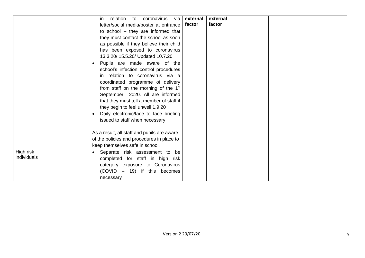|                          | relation<br>coronavirus<br>via<br>to<br>in.<br>letter/social media/poster at entrance  <br>to school - they are informed that<br>they must contact the school as soon<br>as possible if they believe their child<br>has been exposed to coronavirus<br>13.3.20/ 15.5.20/ Updated 10.7.20<br>Pupils are made aware of the<br>school's infection control procedures<br>in relation to coronavirus via a<br>coordinated programme of delivery<br>from staff on the morning of the 1 <sup>st</sup><br>September 2020. All are informed<br>that they must tell a member of staff if<br>they begin to feel unwell 1.9.20<br>Daily electronic/face to face briefing<br>issued to staff when necessary<br>As a result, all staff and pupils are aware<br>of the policies and procedures in place to<br>keep themselves safe in school. | external<br>factor | external<br>factor |  |  |
|--------------------------|--------------------------------------------------------------------------------------------------------------------------------------------------------------------------------------------------------------------------------------------------------------------------------------------------------------------------------------------------------------------------------------------------------------------------------------------------------------------------------------------------------------------------------------------------------------------------------------------------------------------------------------------------------------------------------------------------------------------------------------------------------------------------------------------------------------------------------|--------------------|--------------------|--|--|
| High risk<br>individuals | • Separate risk assessment to be<br>completed for staff in high risk<br>category exposure to Coronavirus<br>(COVID – 19) if this becomes<br>necessary                                                                                                                                                                                                                                                                                                                                                                                                                                                                                                                                                                                                                                                                          |                    |                    |  |  |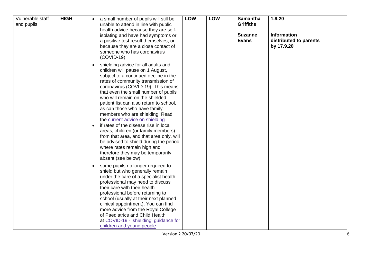| Vulnerable staff<br>and pupils | <b>HIGH</b> | a small number of pupils will still be<br>unable to attend in line with public<br>health advice because they are self-<br>isolating and have had symptoms or<br>a positive test result themselves; or<br>because they are a close contact of<br>someone who has coronavirus<br>$(COVID-19)$                                                                                                                                                                                                                                                                                                                                                                                                                                                                                                                                                                                                                                                                                                                                                                                                                                                                                                | <b>LOW</b> | <b>LOW</b> | <b>Samantha</b><br><b>Griffiths</b><br><b>Suzanne</b><br><b>Evans</b> | 1.9.20<br>Information<br>distributed to parents<br>by 17.9.20 |
|--------------------------------|-------------|--------------------------------------------------------------------------------------------------------------------------------------------------------------------------------------------------------------------------------------------------------------------------------------------------------------------------------------------------------------------------------------------------------------------------------------------------------------------------------------------------------------------------------------------------------------------------------------------------------------------------------------------------------------------------------------------------------------------------------------------------------------------------------------------------------------------------------------------------------------------------------------------------------------------------------------------------------------------------------------------------------------------------------------------------------------------------------------------------------------------------------------------------------------------------------------------|------------|------------|-----------------------------------------------------------------------|---------------------------------------------------------------|
|                                |             | shielding advice for all adults and<br>$\bullet$<br>children will pause on 1 August,<br>subject to a continued decline in the<br>rates of community transmission of<br>coronavirus (COVID-19). This means<br>that even the small number of pupils<br>who will remain on the shielded<br>patient list can also return to school,<br>as can those who have family<br>members who are shielding. Read<br>the current advice on shielding<br>if rates of the disease rise in local<br>$\bullet$<br>areas, children (or family members)<br>from that area, and that area only, will<br>be advised to shield during the period<br>where rates remain high and<br>therefore they may be temporarily<br>absent (see below).<br>some pupils no longer required to<br>$\bullet$<br>shield but who generally remain<br>under the care of a specialist health<br>professional may need to discuss<br>their care with their health<br>professional before returning to<br>school (usually at their next planned<br>clinical appointment). You can find<br>more advice from the Royal College<br>of Paediatrics and Child Health<br>at COVID-19 - 'shielding' guidance for<br>children and young people. |            |            |                                                                       |                                                               |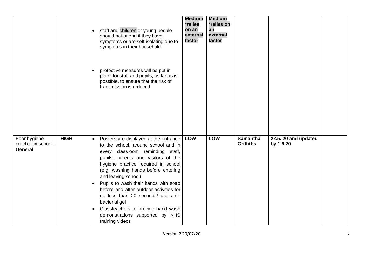|                                                        |             | staff and children or young people<br>$\bullet$<br>should not attend if they have<br>symptoms or are self-isolating due to<br>symptoms in their household<br>protective measures will be put in<br>place for staff and pupils, as far as is<br>possible, to ensure that the risk of<br>transmission is reduced                                                                                                                                                                                                               | <b>Medium</b><br>*relies<br>on an<br>external<br>factor | <b>Medium</b><br>*relies on<br>an<br>external<br>factor |                                     |                                   |  |
|--------------------------------------------------------|-------------|------------------------------------------------------------------------------------------------------------------------------------------------------------------------------------------------------------------------------------------------------------------------------------------------------------------------------------------------------------------------------------------------------------------------------------------------------------------------------------------------------------------------------|---------------------------------------------------------|---------------------------------------------------------|-------------------------------------|-----------------------------------|--|
| Poor hygiene<br>practice in school -<br><b>General</b> | <b>HIGH</b> | Posters are displayed at the entrance<br>$\bullet$<br>to the school, around school and in<br>every classroom reminding staff,<br>pupils, parents and visitors of the<br>hygiene practice required in school<br>(e.g. washing hands before entering<br>and leaving school)<br>Pupils to wash their hands with soap<br>$\bullet$<br>before and after outdoor activities for<br>no less than 20 seconds/ use anti-<br>bacterial gel<br>Classteachers to provide hand wash<br>demonstrations supported by NHS<br>training videos | <b>LOW</b>                                              | <b>LOW</b>                                              | <b>Samantha</b><br><b>Griffiths</b> | 22.5. 20 and updated<br>by 1.9.20 |  |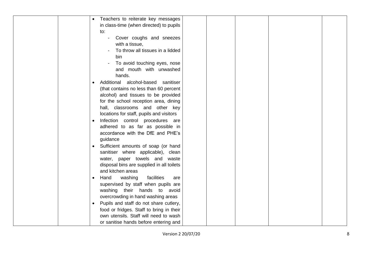|  | Teachers to reiterate key messages                  |  |
|--|-----------------------------------------------------|--|
|  | in class-time (when directed) to pupils             |  |
|  | to:                                                 |  |
|  | Cover coughs and sneezes                            |  |
|  | with a tissue,                                      |  |
|  | To throw all tissues in a lidded                    |  |
|  | bin                                                 |  |
|  | To avoid touching eyes, nose                        |  |
|  | and mouth with unwashed                             |  |
|  | hands.                                              |  |
|  | Additional alcohol-based sanitiser<br>$\bullet$     |  |
|  | (that contains no less than 60 percent              |  |
|  | alcohol) and tissues to be provided                 |  |
|  | for the school reception area, dining               |  |
|  | hall, classrooms and other key                      |  |
|  | locations for staff, pupils and visitors            |  |
|  | Infection control procedures are<br>$\bullet$       |  |
|  | adhered to as far as possible in                    |  |
|  | accordance with the DfE and PHE's                   |  |
|  | guidance                                            |  |
|  | Sufficient amounts of soap (or hand<br>$\bullet$    |  |
|  | sanitiser where applicable), clean                  |  |
|  | water, paper towels and waste                       |  |
|  | disposal bins are supplied in all toilets           |  |
|  | and kitchen areas                                   |  |
|  | Hand<br>washing<br>facilities<br>are<br>$\bullet$   |  |
|  | supervised by staff when pupils are                 |  |
|  | washing their hands to avoid                        |  |
|  | overcrowding in hand washing areas                  |  |
|  | Pupils and staff do not share cutlery,<br>$\bullet$ |  |
|  | food or fridges. Staff to bring in their            |  |
|  | own utensils. Staff will need to wash               |  |
|  | or sanitise hands before entering and               |  |
|  |                                                     |  |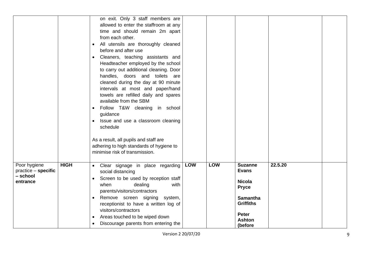|                                                               |             | on exit. Only 3 staff members are<br>allowed to enter the staffroom at any<br>time and should remain 2m apart<br>from each other.<br>All utensils are thoroughly cleaned<br>before and after use<br>Cleaners, teaching assistants and<br>Headteacher employed by the school<br>to carry out additional cleaning. Door<br>handles, doors and toilets are<br>cleaned during the day at 90 minute<br>intervals at most and paper/hand<br>towels are refilled daily and spares<br>available from the SBM<br>Follow T&W cleaning in school<br>guidance<br>Issue and use a classroom cleaning<br>schedule<br>As a result, all pupils and staff are<br>adhering to high standards of hygiene to<br>minimise risk of transmission. |     |            |                                                                                                                                                    |         |  |
|---------------------------------------------------------------|-------------|----------------------------------------------------------------------------------------------------------------------------------------------------------------------------------------------------------------------------------------------------------------------------------------------------------------------------------------------------------------------------------------------------------------------------------------------------------------------------------------------------------------------------------------------------------------------------------------------------------------------------------------------------------------------------------------------------------------------------|-----|------------|----------------------------------------------------------------------------------------------------------------------------------------------------|---------|--|
| Poor hygiene<br>$practive - specific$<br>- school<br>entrance | <b>HIGH</b> | Clear signage in place regarding<br>social distancing<br>Screen to be used by reception staff<br>$\bullet$<br>dealing<br>when<br>with<br>parents/visitors/contractors<br>Remove screen signing system,<br>$\bullet$<br>receptionist to have a written log of<br>visitors/contractors<br>Areas touched to be wiped down<br>Discourage parents from entering the                                                                                                                                                                                                                                                                                                                                                             | LOW | <b>LOW</b> | <b>Suzanne</b><br><b>Evans</b><br><b>Nicola</b><br><b>Pryce</b><br><b>Samantha</b><br><b>Griffiths</b><br><b>Peter</b><br><b>Ashton</b><br>(before | 22.5.20 |  |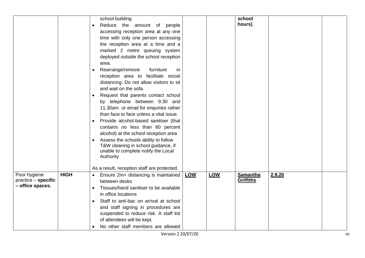|                     |             | school building                             |     |     | school           |        |  |
|---------------------|-------------|---------------------------------------------|-----|-----|------------------|--------|--|
|                     |             | Reduce the amount of people                 |     |     | hours)           |        |  |
|                     |             | accessing reception area at any one         |     |     |                  |        |  |
|                     |             | time with only one person accessing         |     |     |                  |        |  |
|                     |             | the reception area at a time and a          |     |     |                  |        |  |
|                     |             | marked 2 metre queuing system               |     |     |                  |        |  |
|                     |             | deployed outside the school reception       |     |     |                  |        |  |
|                     |             | area.                                       |     |     |                  |        |  |
|                     |             | Rearrange/remove<br>furniture<br>in         |     |     |                  |        |  |
|                     |             |                                             |     |     |                  |        |  |
|                     |             | reception area to facilitate social         |     |     |                  |        |  |
|                     |             | distancing. Do not allow visitors to sit    |     |     |                  |        |  |
|                     |             | and wait on the sofa.                       |     |     |                  |        |  |
|                     |             | Request that parents contact school         |     |     |                  |        |  |
|                     |             | by telephone between 9.30 and               |     |     |                  |        |  |
|                     |             | 11.30am or email for enquiries rather       |     |     |                  |        |  |
|                     |             | than face to face unless a vital issue.     |     |     |                  |        |  |
|                     |             | Provide alcohol-based sanitiser (that       |     |     |                  |        |  |
|                     |             | contains no less than 60 percent            |     |     |                  |        |  |
|                     |             | alcohol) at the school reception area       |     |     |                  |        |  |
|                     |             | Assess the schools ability to follow        |     |     |                  |        |  |
|                     |             | T&W cleaning in school guidance, if         |     |     |                  |        |  |
|                     |             | unable to complete notify the Local         |     |     |                  |        |  |
|                     |             | Authority                                   |     |     |                  |        |  |
|                     |             | As a result, reception staff are protected. |     |     |                  |        |  |
| Poor hygiene        | <b>HIGH</b> | Ensure 2m+ distancing is maintained         | LOW | LOW | <b>Samantha</b>  | 2.9.20 |  |
| practice - specific |             | between desks                               |     |     | <b>Griffiths</b> |        |  |
| - office spaces.    |             | Tissues/hand sanitiser to be available      |     |     |                  |        |  |
|                     |             | in office locations                         |     |     |                  |        |  |
|                     |             |                                             |     |     |                  |        |  |
|                     |             | Staff to anti-bac on arrival at school      |     |     |                  |        |  |
|                     |             | and staff signing in procedures are         |     |     |                  |        |  |
|                     |             | suspended to reduce risk. A staff list      |     |     |                  |        |  |
|                     |             | of attendees will be kept.                  |     |     |                  |        |  |
|                     |             | No other staff members are allowed          |     |     |                  |        |  |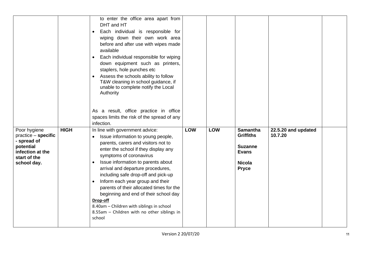|                                                                                                                      |             | to enter the office area apart from<br>DHT and HT<br>Each individual is responsible for<br>wiping down their own work area<br>before and after use with wipes made<br>available<br>Each individual responsible for wiping<br>down equipment such as printers,<br>staplers, hole punches etc<br>Assess the schools ability to follow<br>T&W cleaning in school guidance, if<br>unable to complete notify the Local<br>Authority<br>As a result, office practice in office<br>spaces limits the risk of the spread of any<br>infection.        |     |            |                                                                                                        |                                |  |
|----------------------------------------------------------------------------------------------------------------------|-------------|----------------------------------------------------------------------------------------------------------------------------------------------------------------------------------------------------------------------------------------------------------------------------------------------------------------------------------------------------------------------------------------------------------------------------------------------------------------------------------------------------------------------------------------------|-----|------------|--------------------------------------------------------------------------------------------------------|--------------------------------|--|
| Poor hygiene<br>$practive - specific$<br>- spread of<br>potential<br>infection at the<br>start of the<br>school day. | <b>HIGH</b> | In line with government advice:<br>Issue information to young people,<br>parents, carers and visitors not to<br>enter the school if they display any<br>symptoms of coronavirus<br>Issue information to parents about<br>arrival and departure procedures,<br>including safe drop-off and pick-up<br>Inform each year group and their<br>parents of their allocated times for the<br>beginning and end of their school day<br>Drop-off<br>8.40am - Children with siblings in school<br>8.55am - Children with no other siblings in<br>school | LOW | <b>LOW</b> | <b>Samantha</b><br><b>Griffiths</b><br><b>Suzanne</b><br><b>Evans</b><br><b>Nicola</b><br><b>Pryce</b> | 22.5.20 and updated<br>10.7.20 |  |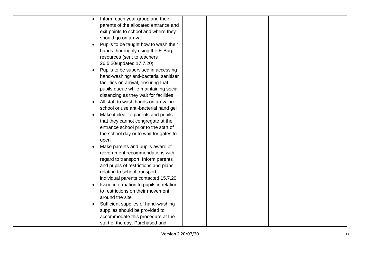|  | Inform each year group and their<br>$\bullet$     |  |  |  |
|--|---------------------------------------------------|--|--|--|
|  | parents of the allocated entrance and             |  |  |  |
|  | exit points to school and where they              |  |  |  |
|  | should go on arrival                              |  |  |  |
|  | Pupils to be taught how to wash their             |  |  |  |
|  | hands thoroughly using the E-Bug                  |  |  |  |
|  | resources (sent to teachers                       |  |  |  |
|  | 26.5.20/updated 17.7.20)                          |  |  |  |
|  | Pupils to be supervised in accessing<br>$\bullet$ |  |  |  |
|  | hand-washing/ anti-bacterial sanitiser            |  |  |  |
|  | facilities on arrival, ensuring that              |  |  |  |
|  | pupils queue while maintaining social             |  |  |  |
|  | distancing as they wait for facilities            |  |  |  |
|  | All staff to wash hands on arrival in             |  |  |  |
|  | school or use anti-bacterial hand gel             |  |  |  |
|  | Make it clear to parents and pupils<br>$\bullet$  |  |  |  |
|  | that they cannot congregate at the                |  |  |  |
|  | entrance school prior to the start of             |  |  |  |
|  | the school day or to wait for gates to            |  |  |  |
|  | open                                              |  |  |  |
|  | Make parents and pupils aware of                  |  |  |  |
|  | government recommendations with                   |  |  |  |
|  | regard to transport. Inform parents               |  |  |  |
|  | and pupils of restrictions and plans              |  |  |  |
|  | relating to school transport -                    |  |  |  |
|  | individual parents contacted 15.7.20              |  |  |  |
|  | Issue information to pupils in relation           |  |  |  |
|  | to restrictions on their movement                 |  |  |  |
|  | around the site                                   |  |  |  |
|  | Sufficient supplies of hand-washing               |  |  |  |
|  | supplies should be provided to                    |  |  |  |
|  | accommodate this procedure at the                 |  |  |  |
|  | start of the day. Purchased and                   |  |  |  |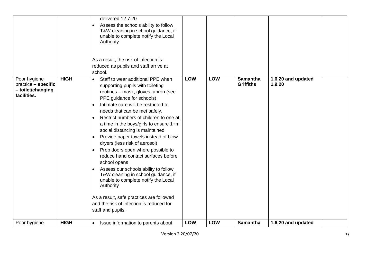|                                                                         |             | delivered 12.7.20<br>Assess the schools ability to follow<br>T&W cleaning in school guidance, if<br>unable to complete notify the Local<br>Authority<br>As a result, the risk of infection is<br>reduced as pupils and staff arrive at<br>school.                                                                                                                                                                                                                                                                                                                                                                                                                                                                                                                                                                 |            |            |                                     |                              |  |
|-------------------------------------------------------------------------|-------------|-------------------------------------------------------------------------------------------------------------------------------------------------------------------------------------------------------------------------------------------------------------------------------------------------------------------------------------------------------------------------------------------------------------------------------------------------------------------------------------------------------------------------------------------------------------------------------------------------------------------------------------------------------------------------------------------------------------------------------------------------------------------------------------------------------------------|------------|------------|-------------------------------------|------------------------------|--|
| Poor hygiene<br>practice - specific<br>- toilet/changing<br>facilities. | <b>HIGH</b> | Staff to wear additional PPE when<br>$\bullet$<br>supporting pupils with toileting<br>routines - mask, gloves, apron (see<br>PPE guidance for schools)<br>Intimate care will be restricted to<br>needs that can be met safely.<br>Restrict numbers of children to one at<br>$\bullet$<br>a time in the boys/girls to ensure 1+m<br>social distancing is maintained<br>Provide paper towels instead of blow<br>dryers (less risk of aerosol)<br>Prop doors open where possible to<br>$\bullet$<br>reduce hand contact surfaces before<br>school opens<br>Assess our schools ability to follow<br>$\bullet$<br>T&W cleaning in school guidance, if<br>unable to complete notify the Local<br>Authority<br>As a result, safe practices are followed<br>and the risk of infection is reduced for<br>staff and pupils. | <b>LOW</b> | <b>LOW</b> | <b>Samantha</b><br><b>Griffiths</b> | 1.6.20 and updated<br>1.9.20 |  |
| Poor hygiene                                                            | <b>HIGH</b> | Issue information to parents about<br>$\bullet$                                                                                                                                                                                                                                                                                                                                                                                                                                                                                                                                                                                                                                                                                                                                                                   | <b>LOW</b> | <b>LOW</b> | <b>Samantha</b>                     | 1.6.20 and updated           |  |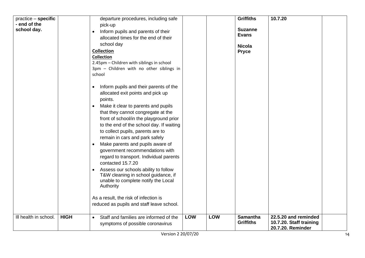| practice - specific   |             | departure procedures, including safe                                                                                                                                                                                                                                           |            |            | <b>Griffiths</b>                    | 10.7.20                                                              |    |
|-----------------------|-------------|--------------------------------------------------------------------------------------------------------------------------------------------------------------------------------------------------------------------------------------------------------------------------------|------------|------------|-------------------------------------|----------------------------------------------------------------------|----|
| - end of the          |             | pick-up                                                                                                                                                                                                                                                                        |            |            |                                     |                                                                      |    |
| school day.           |             | Inform pupils and parents of their<br>$\bullet$                                                                                                                                                                                                                                |            |            | <b>Suzanne</b>                      |                                                                      |    |
|                       |             | allocated times for the end of their                                                                                                                                                                                                                                           |            |            | <b>Evans</b>                        |                                                                      |    |
|                       |             | school day                                                                                                                                                                                                                                                                     |            |            | <b>Nicola</b>                       |                                                                      |    |
|                       |             | <b>Collection</b>                                                                                                                                                                                                                                                              |            |            | <b>Pryce</b>                        |                                                                      |    |
|                       |             | <b>Collection</b>                                                                                                                                                                                                                                                              |            |            |                                     |                                                                      |    |
|                       |             | 2.45pm - Children with siblings in school                                                                                                                                                                                                                                      |            |            |                                     |                                                                      |    |
|                       |             | 3pm - Children with no other siblings in                                                                                                                                                                                                                                       |            |            |                                     |                                                                      |    |
|                       |             | school                                                                                                                                                                                                                                                                         |            |            |                                     |                                                                      |    |
|                       |             | Inform pupils and their parents of the<br>$\bullet$<br>allocated exit points and pick up<br>points.                                                                                                                                                                            |            |            |                                     |                                                                      |    |
|                       |             | Make it clear to parents and pupils<br>that they cannot congregate at the<br>front of school/in the playground prior<br>to the end of the school day. If waiting<br>to collect pupils, parents are to                                                                          |            |            |                                     |                                                                      |    |
|                       |             | remain in cars and park safely<br>Make parents and pupils aware of<br>$\bullet$<br>government recommendations with<br>regard to transport. Individual parents<br>contacted 15.7.20<br>Assess our schools ability to follow<br>$\bullet$<br>T&W cleaning in school guidance, if |            |            |                                     |                                                                      |    |
|                       |             | unable to complete notify the Local<br>Authority                                                                                                                                                                                                                               |            |            |                                     |                                                                      |    |
|                       |             | As a result, the risk of infection is                                                                                                                                                                                                                                          |            |            |                                     |                                                                      |    |
|                       |             | reduced as pupils and staff leave school.                                                                                                                                                                                                                                      |            |            |                                     |                                                                      |    |
| Ill health in school. | <b>HIGH</b> | Staff and families are informed of the<br>$\bullet$<br>symptoms of possible coronavirus                                                                                                                                                                                        | <b>LOW</b> | <b>LOW</b> | <b>Samantha</b><br><b>Griffiths</b> | 22.5.20 and reminded<br>10.7.20. Staff training<br>20.7.20. Reminder |    |
|                       |             | Version 2 20/07/20                                                                                                                                                                                                                                                             |            |            |                                     |                                                                      | 14 |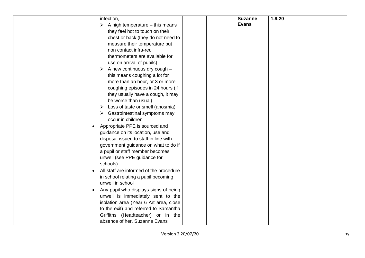| infection,                                       | <b>Suzanne</b> | 1.9.20 |  |
|--------------------------------------------------|----------------|--------|--|
| $\triangleright$ A high temperature – this means | <b>Evans</b>   |        |  |
| they feel hot to touch on their                  |                |        |  |
|                                                  |                |        |  |
| chest or back (they do not need to               |                |        |  |
| measure their temperature but                    |                |        |  |
| non contact infra-red                            |                |        |  |
| thermometers are available for                   |                |        |  |
| use on arrival of pupils)                        |                |        |  |
| A new continuous dry cough -<br>➤                |                |        |  |
| this means coughing a lot for                    |                |        |  |
| more than an hour, or 3 or more                  |                |        |  |
| coughing episodes in 24 hours (if                |                |        |  |
| they usually have a cough, it may                |                |        |  |
| be worse than usual)                             |                |        |  |
| Loss of taste or smell (anosmia)<br>➤            |                |        |  |
| Gastrointestinal symptoms may                    |                |        |  |
| occur in children                                |                |        |  |
| Appropriate PPE is sourced and<br>$\bullet$      |                |        |  |
| guidance on its location, use and                |                |        |  |
| disposal issued to staff in line with            |                |        |  |
| government guidance on what to do if             |                |        |  |
| a pupil or staff member becomes                  |                |        |  |
| unwell (see PPE guidance for                     |                |        |  |
| schools)                                         |                |        |  |
| All staff are informed of the procedure          |                |        |  |
| in school relating a pupil becoming              |                |        |  |
| unwell in school                                 |                |        |  |
|                                                  |                |        |  |
| Any pupil who displays signs of being            |                |        |  |
| unwell is immediately sent to the                |                |        |  |
| isolation area (Year 6 Art area, close           |                |        |  |
| to the exit) and referred to Samantha            |                |        |  |
| Griffiths (Headteacher) or in the                |                |        |  |
| absence of her, Suzanne Evans                    |                |        |  |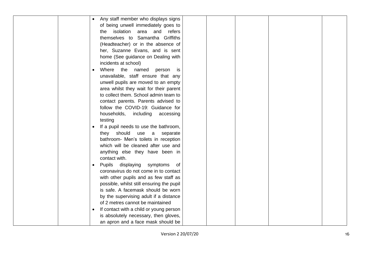| Any staff member who displays signs                  |
|------------------------------------------------------|
| of being unwell immediately goes to                  |
| isolation<br>area<br>and<br>refers<br>the.           |
| themselves to Samantha Griffiths                     |
| (Headteacher) or in the absence of                   |
| her, Suzanne Evans, and is sent                      |
| home (See guidance on Dealing with                   |
| incidents at school)                                 |
| Where the named<br>person<br>is<br>$\bullet$         |
| unavailable, staff ensure that any                   |
| unwell pupils are moved to an empty                  |
| area whilst they wait for their parent               |
| to collect them. School admin team to                |
| contact parents. Parents advised to                  |
| follow the COVID-19: Guidance for                    |
| households,<br>including<br>accessing                |
| testing                                              |
| If a pupil needs to use the bathroom,                |
| should<br>use<br>they<br>separate<br>a               |
| bathroom- Men's toilets in reception                 |
| which will be cleaned after use and                  |
| anything else they have been in                      |
| contact with.                                        |
| Pupils displaying<br>symptoms<br>of<br>$\bullet$     |
| coronavirus do not come in to contact                |
| with other pupils and as few staff as                |
| possible, whilst still ensuring the pupil            |
| is safe. A facemask should be worn                   |
| by the supervising adult if a distance               |
| of 2 metres cannot be maintained                     |
| If contact with a child or young person<br>$\bullet$ |
| is absolutely necessary, then gloves,                |
| an apron and a face mask should be                   |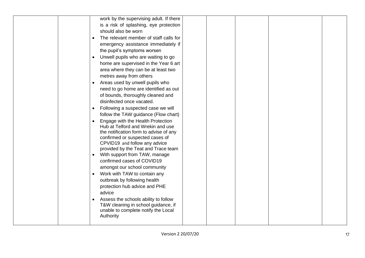| work by the supervising adult. If there                                           |
|-----------------------------------------------------------------------------------|
| is a risk of splashing, eye protection                                            |
| should also be worn                                                               |
| The relevant member of staff calls for<br>$\bullet$                               |
| emergency assistance immediately if                                               |
| the pupil's symptoms worsen                                                       |
| Unwell pupils who are waiting to go                                               |
| home are supervised in the Year 6 art                                             |
| area where they can be at least two                                               |
| metres away from others                                                           |
| Areas used by unwell pupils who                                                   |
| need to go home are identified as out                                             |
| of bounds, thoroughly cleaned and                                                 |
| disinfected once vacated.                                                         |
| Following a suspected case we will                                                |
| follow the TAW guidance (Flow chart)                                              |
| Engage with the Health Protection<br>$\bullet$                                    |
| Hub at Telford and Wrekin and use                                                 |
| the notification form to advise of any                                            |
| confirmed or suspected cases of                                                   |
| CPVID19 and follow any advice                                                     |
| provided by the Teat and Trace team<br>With support from TAW, manage<br>$\bullet$ |
| confirmed cases of COVID19                                                        |
| amongst our school community                                                      |
| Work with TAW to contain any<br>$\bullet$                                         |
| outbreak by following health                                                      |
| protection hub advice and PHE                                                     |
| advice                                                                            |
| Assess the schools ability to follow                                              |
| T&W cleaning in school guidance, if                                               |
| unable to complete notify the Local                                               |
| Authority                                                                         |
|                                                                                   |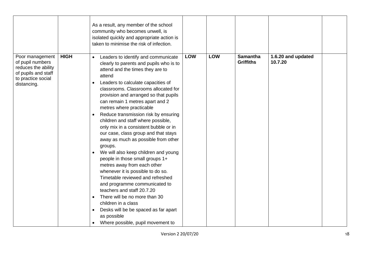|                                                                                                                        |             | As a result, any member of the school<br>community who becomes unwell, is<br>isolated quickly and appropriate action is<br>taken to minimise the risk of infection.                                                                                                                                                                                                                                                                                                                                                                                                                                                                                                                                                                                                                                                                                                                                                                                    |            |     |                                     |                               |  |
|------------------------------------------------------------------------------------------------------------------------|-------------|--------------------------------------------------------------------------------------------------------------------------------------------------------------------------------------------------------------------------------------------------------------------------------------------------------------------------------------------------------------------------------------------------------------------------------------------------------------------------------------------------------------------------------------------------------------------------------------------------------------------------------------------------------------------------------------------------------------------------------------------------------------------------------------------------------------------------------------------------------------------------------------------------------------------------------------------------------|------------|-----|-------------------------------------|-------------------------------|--|
| Poor management<br>of pupil numbers<br>reduces the ability<br>of pupils and staff<br>to practice social<br>distancing. | <b>HIGH</b> | Leaders to identify and communicate<br>$\bullet$<br>clearly to parents and pupils who is to<br>attend and the times they are to<br>attend<br>Leaders to calculate capacities of<br>classrooms. Classrooms allocated for<br>provision and arranged so that pupils<br>can remain 1 metres apart and 2<br>metres where practicable<br>Reduce transmission risk by ensuring<br>children and staff where possible,<br>only mix in a consistent bubble or in<br>our case, class group and that stays<br>away as much as possible from other<br>groups.<br>We will also keep children and young<br>people in those small groups 1+<br>metres away from each other<br>whenever it is possible to do so.<br>Timetable reviewed and refreshed<br>and programme communicated to<br>teachers and staff 20.7.20<br>There will be no more than 30<br>children in a class<br>Desks will be be spaced as far apart<br>as possible<br>Where possible, pupil movement to | <b>LOW</b> | LOW | <b>Samantha</b><br><b>Griffiths</b> | 1.6.20 and updated<br>10.7.20 |  |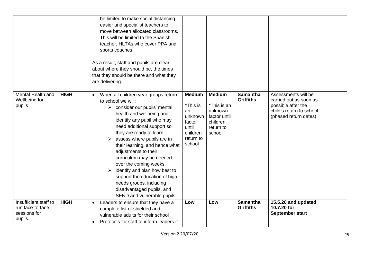|                                                                      |             | be limited to make social distancing<br>easier and specialist teachers to<br>move between allocated classrooms.<br>This will be limited to the Spanish<br>teacher, HLTAs who cover PPA and<br>sports coaches<br>As a result, staff and pupils are clear<br>about where they should be, the times<br>that they should be there and what they<br>are delivering.                                                                                                                                                                                  |                                                                                                  |                                                                                            |                                     |                                                                                                                          |  |
|----------------------------------------------------------------------|-------------|-------------------------------------------------------------------------------------------------------------------------------------------------------------------------------------------------------------------------------------------------------------------------------------------------------------------------------------------------------------------------------------------------------------------------------------------------------------------------------------------------------------------------------------------------|--------------------------------------------------------------------------------------------------|--------------------------------------------------------------------------------------------|-------------------------------------|--------------------------------------------------------------------------------------------------------------------------|--|
| Mental Health and<br>Wellbeing for<br>pupils                         | <b>HIGH</b> | When all children year groups return<br>$\bullet$<br>to school we will;<br>$\triangleright$ consider our pupils' mental<br>health and wellbeing and<br>identify any pupil who may<br>need additional support so<br>they are ready to learn<br>assess where pupils are in<br>their learning, and hence what<br>adjustments to their<br>curriculum may be needed<br>over the coming weeks<br>identify and plan how best to<br>support the education of high<br>needs groups, including<br>disadvantaged pupils, and<br>SEND and vulnerable pupils | <b>Medium</b><br>*This is<br>an<br>unknown<br>factor<br>until<br>children<br>return to<br>school | <b>Medium</b><br>*This is an<br>unknown<br>factor until<br>children<br>return to<br>school | <b>Samantha</b><br><b>Griffiths</b> | Assessments will be<br>carried out as soon as<br>possible after the<br>child's return to school<br>(phased return dates) |  |
| Insufficient staff to<br>run face-to-face<br>sessions for<br>pupils. | <b>HIGH</b> | Leaders to ensure that they have a<br>$\bullet$<br>complete list of shielded and<br>vulnerable adults for their school<br>Protocols for staff to inform leaders if                                                                                                                                                                                                                                                                                                                                                                              | Low                                                                                              | Low                                                                                        | <b>Samantha</b><br><b>Griffiths</b> | 15.5.20 and updated<br>10.7.20 for<br>September start                                                                    |  |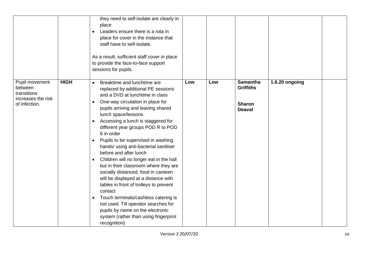|                                                                                 |             | they need to self-isolate are clearly in<br>place<br>Leaders ensure there is a rota in<br>place for cover in the instance that<br>staff have to self-isolate.<br>As a result, sufficient staff cover in place<br>to provide the face-to-face support<br>sessions for pupils.                                                                                                                                                                                                                                                                                                                                                                                                                                                                                                                                                                          |     |     |                                                                       |                |  |
|---------------------------------------------------------------------------------|-------------|-------------------------------------------------------------------------------------------------------------------------------------------------------------------------------------------------------------------------------------------------------------------------------------------------------------------------------------------------------------------------------------------------------------------------------------------------------------------------------------------------------------------------------------------------------------------------------------------------------------------------------------------------------------------------------------------------------------------------------------------------------------------------------------------------------------------------------------------------------|-----|-----|-----------------------------------------------------------------------|----------------|--|
| Pupil movement<br>between<br>transitions<br>increases the risk<br>of infection. | <b>HIGH</b> | Breaktime and lunchtime are<br>$\bullet$<br>replaced by additional PE sessions<br>and a DVD at lunchtime in class<br>One-way circulation in place for<br>pupils arriving and leaving shared<br>lunch space/lessons.<br>Accessing a lunch is staggered for<br>different year groups POD R to POD<br>6 in order<br>Pupils to be supervised in washing<br>$\bullet$<br>hands/ using anti-bacterial sanitiser<br>before and after lunch<br>Children will no longer eat in the hall<br>but in their classroom where they are<br>socially distanced, food in canteen<br>will be displayed at a distance with<br>tables in front of trolleys to prevent<br>contact<br>Touch terminals/cashless catering is<br>$\bullet$<br>not used. Till operator searches for<br>pupils by name on the electronic<br>system (rather than using fingerprint<br>recognition) | Low | Low | <b>Samantha</b><br><b>Griffiths</b><br><b>Sharon</b><br><b>Deaval</b> | 1.6.20 ongoing |  |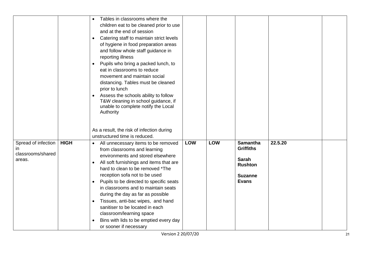|                                                          |             | Tables in classrooms where the<br>children eat to be cleaned prior to use<br>and at the end of session<br>Catering staff to maintain strict levels<br>of hygiene in food preparation areas<br>and follow whole staff guidance in<br>reporting illness<br>Pupils who bring a packed lunch, to<br>eat in classrooms to reduce<br>movement and maintain social<br>distancing. Tables must be cleaned<br>prior to lunch<br>Assess the schools ability to follow<br>T&W cleaning in school guidance, if<br>unable to complete notify the Local<br>Authority |            |            |                                                                                                         |         |  |
|----------------------------------------------------------|-------------|--------------------------------------------------------------------------------------------------------------------------------------------------------------------------------------------------------------------------------------------------------------------------------------------------------------------------------------------------------------------------------------------------------------------------------------------------------------------------------------------------------------------------------------------------------|------------|------------|---------------------------------------------------------------------------------------------------------|---------|--|
|                                                          |             | As a result, the risk of infection during                                                                                                                                                                                                                                                                                                                                                                                                                                                                                                              |            |            |                                                                                                         |         |  |
|                                                          |             | unstructured time is reduced.                                                                                                                                                                                                                                                                                                                                                                                                                                                                                                                          |            |            |                                                                                                         |         |  |
| Spread of infection<br>in<br>classrooms/shared<br>areas. | <b>HIGH</b> | All unnecessary items to be removed<br>$\bullet$<br>from classrooms and learning<br>environments and stored elsewhere<br>All soft furnishings and items that are<br>hard to clean to be removed *The<br>reception sofa not to be used<br>Pupils to be directed to specific seats<br>in classrooms and to maintain seats<br>during the day as far as possible<br>Tissues, anti-bac wipes, and hand<br>sanitiser to be located in each<br>classroom/learning space<br>Bins with lids to be emptied every day<br>or sooner if necessary                   | <b>LOW</b> | <b>LOW</b> | <b>Samantha</b><br><b>Griffiths</b><br><b>Sarah</b><br><b>Rushton</b><br><b>Suzanne</b><br><b>Evans</b> | 22.5.20 |  |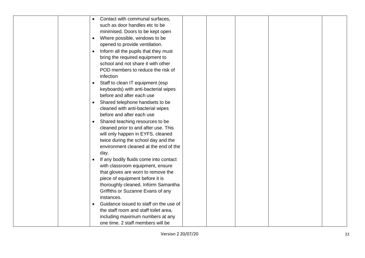| Contact with communal surfaces,<br>$\bullet$        |  |
|-----------------------------------------------------|--|
| such as door handles etc to be                      |  |
| minimised. Doors to be kept open                    |  |
| Where possible, windows to be<br>$\bullet$          |  |
| opened to provide ventilation.                      |  |
| Inform all the pupils that they must<br>$\bullet$   |  |
| bring the required equipment to                     |  |
| school and not share it with other                  |  |
| POD members to reduce the risk of                   |  |
| infection                                           |  |
| Staff to clean IT equipment (esp<br>$\bullet$       |  |
| keyboards) with anti-bacterial wipes                |  |
| before and after each use                           |  |
| Shared telephone handsets to be<br>$\bullet$        |  |
| cleaned with anti-bacterial wipes                   |  |
| before and after each use                           |  |
| Shared teaching resources to be<br>$\bullet$        |  |
| cleaned prior to and after use. This                |  |
| will only happen in EYFS, cleaned                   |  |
| twice during the school day and the                 |  |
| environment cleaned at the end of the               |  |
| day.                                                |  |
| If any bodily fluids come into contact<br>$\bullet$ |  |
| with classroom equipment, ensure                    |  |
| that gloves are worn to remove the                  |  |
| piece of equipment before it is                     |  |
| thoroughly cleaned. Inform Samantha                 |  |
| Griffiths or Suzanne Evans of any                   |  |
| instances.                                          |  |
| Guidance issued to staff on the use of<br>$\bullet$ |  |
| the staff room and staff toilet area,               |  |
| including maximum numbers at any                    |  |
| one time. 2 staff members will be                   |  |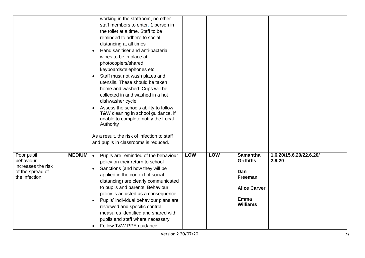|                             | working in the staffroom, no other                |            |            |                     |                         |  |
|-----------------------------|---------------------------------------------------|------------|------------|---------------------|-------------------------|--|
|                             | staff members to enter. 1 person in               |            |            |                     |                         |  |
|                             | the toilet at a time. Staff to be                 |            |            |                     |                         |  |
|                             | reminded to adhere to social                      |            |            |                     |                         |  |
|                             | distancing at all times                           |            |            |                     |                         |  |
|                             | Hand sanitiser and anti-bacterial                 |            |            |                     |                         |  |
|                             | wipes to be in place at                           |            |            |                     |                         |  |
|                             | photocopiers/shared                               |            |            |                     |                         |  |
|                             | keyboards/telephones etc                          |            |            |                     |                         |  |
|                             | Staff must not wash plates and<br>$\bullet$       |            |            |                     |                         |  |
|                             | utensils. These should be taken                   |            |            |                     |                         |  |
|                             | home and washed. Cups will be                     |            |            |                     |                         |  |
|                             | collected in and washed in a hot                  |            |            |                     |                         |  |
|                             | dishwasher cycle.                                 |            |            |                     |                         |  |
|                             | Assess the schools ability to follow              |            |            |                     |                         |  |
|                             | T&W cleaning in school guidance, if               |            |            |                     |                         |  |
|                             | unable to complete notify the Local               |            |            |                     |                         |  |
|                             | Authority                                         |            |            |                     |                         |  |
|                             | As a result, the risk of infection to staff       |            |            |                     |                         |  |
|                             | and pupils in classrooms is reduced.              |            |            |                     |                         |  |
|                             |                                                   |            |            |                     |                         |  |
| <b>MEDIUM</b><br>Poor pupil | Pupils are reminded of the behaviour<br>$\bullet$ | <b>LOW</b> | <b>LOW</b> | <b>Samantha</b>     | 1.6.20/15.6.20/22.6.20/ |  |
| behaviour                   | policy on their return to school                  |            |            | <b>Griffiths</b>    | 2.9.20                  |  |
| increases the risk          | Sanctions (and how they will be                   |            |            |                     |                         |  |
| of the spread of            | applied in the context of social                  |            |            | Dan                 |                         |  |
| the infection.              | distancing) are clearly communicated              |            |            | Freeman             |                         |  |
|                             | to pupils and parents. Behaviour                  |            |            | <b>Alice Carver</b> |                         |  |
|                             | policy is adjusted as a consequence               |            |            |                     |                         |  |
|                             | Pupils' individual behaviour plans are            |            |            | <b>Emma</b>         |                         |  |
|                             | reviewed and specific control                     |            |            | <b>Williams</b>     |                         |  |
|                             | measures identified and shared with               |            |            |                     |                         |  |
|                             | pupils and staff where necessary.                 |            |            |                     |                         |  |
|                             |                                                   |            |            |                     |                         |  |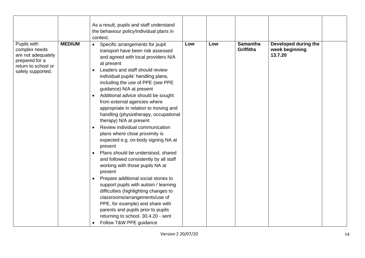|                                                                                                                  |               | As a result, pupils and staff understand                                                                                                                                                                                                                                                                                                                                                                                                                                                                                                                                                                                                                                                                                                                                                                                                                                                                                                                                                                                                      |     |     |                                     |                                                   |  |
|------------------------------------------------------------------------------------------------------------------|---------------|-----------------------------------------------------------------------------------------------------------------------------------------------------------------------------------------------------------------------------------------------------------------------------------------------------------------------------------------------------------------------------------------------------------------------------------------------------------------------------------------------------------------------------------------------------------------------------------------------------------------------------------------------------------------------------------------------------------------------------------------------------------------------------------------------------------------------------------------------------------------------------------------------------------------------------------------------------------------------------------------------------------------------------------------------|-----|-----|-------------------------------------|---------------------------------------------------|--|
|                                                                                                                  |               | the behaviour policy/individual plans in<br>context.                                                                                                                                                                                                                                                                                                                                                                                                                                                                                                                                                                                                                                                                                                                                                                                                                                                                                                                                                                                          |     |     |                                     |                                                   |  |
| Pupils with<br>complex needs<br>are not adequately<br>prepared for a<br>return to school or<br>safely supported. | <b>MEDIUM</b> | Specific arrangements for pupil<br>$\bullet$<br>transport have been risk assessed<br>and agreed with local providers N/A<br>at present<br>Leaders and staff should review<br>individual pupils' handling plans,<br>including the use of PPE (see PPE<br>guidance) N/A at present<br>Additional advice should be sought<br>$\bullet$<br>from external agencies where<br>appropriate in relation to moving and<br>handling (physiotherapy, occupational<br>therapy) N/A at present<br>Review individual communication<br>plans where close proximity is<br>expected e.g. on-body signing NA at<br>present<br>Plans should be understood, shared<br>and followed consistently by all staff<br>working with those pupils NA at<br>present<br>Prepare additional social stories to<br>support pupils with autism / learning<br>difficulties (highlighting changes to<br>classrooms/arrangements/use of<br>PPE, for example) and share with<br>parents and pupils prior to pupils<br>returning to school. 30.4.20 - sent<br>Follow T&W PPE guidance | Low | Low | <b>Samantha</b><br><b>Griffiths</b> | Developed during the<br>week beginning<br>13.7.20 |  |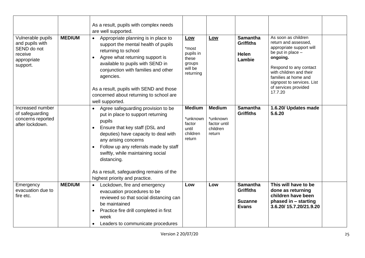| Vulnerable pupils<br>and pupils with<br>SEND do not<br>receive<br>appropriate<br>support. | <b>MEDIUM</b> | As a result, pupils with complex needs<br>are well supported.<br>Appropriate planning is in place to<br>$\bullet$<br>support the mental health of pupils<br>returning to school<br>Agree what returning support is<br>available to pupils with SEND in<br>conjunction with families and other<br>agencies.<br>As a result, pupils with SEND and those<br>concerned about returning to school are<br>well supported. | <b>Low</b><br>*most<br>pupils in<br>these<br>groups<br>will be<br>returning | Low                                                             | <b>Samantha</b><br><b>Griffiths</b><br><b>Helen</b><br>Lambie         | As soon as children<br>return and assessed.<br>appropriate support will<br>be put in place -<br>ongoing.<br>Respond to any contact<br>with children and their<br>families at home and<br>signpost to services. List<br>of services provided<br>17.7.20 |  |
|-------------------------------------------------------------------------------------------|---------------|---------------------------------------------------------------------------------------------------------------------------------------------------------------------------------------------------------------------------------------------------------------------------------------------------------------------------------------------------------------------------------------------------------------------|-----------------------------------------------------------------------------|-----------------------------------------------------------------|-----------------------------------------------------------------------|--------------------------------------------------------------------------------------------------------------------------------------------------------------------------------------------------------------------------------------------------------|--|
| Increased number<br>of safeguarding<br>concerns reported<br>after lockdown.               |               | Agree safeguarding provision to be<br>put in place to support returning<br>pupils<br>Ensure that key staff (DSL and<br>$\bullet$<br>deputies) have capacity to deal with<br>any arising concerns<br>Follow up any referrals made by staff<br>$\bullet$<br>swiftly, while maintaining social<br>distancing.<br>As a result, safeguarding remains of the<br>highest priority and practice.                            | <b>Medium</b><br>*unknown<br>factor<br>until<br>children<br>return          | <b>Medium</b><br>*unknown<br>factor until<br>children<br>return | <b>Samantha</b><br><b>Griffiths</b>                                   | 1.6.20/ Updates made<br>5.6.20                                                                                                                                                                                                                         |  |
| Emergency<br>evacuation due to<br>fire etc.                                               | <b>MEDIUM</b> | Lockdown, fire and emergency<br>$\bullet$<br>evacuation procedures to be<br>reviewed so that social distancing can<br>be maintained<br>Practice fire drill completed in first<br>$\bullet$<br>week<br>Leaders to communicate procedures                                                                                                                                                                             | Low                                                                         | Low                                                             | <b>Samantha</b><br><b>Griffiths</b><br><b>Suzanne</b><br><b>Evans</b> | This will have to be<br>done as returning<br>children have been<br>phased in - starting<br>3.6.20/15.7.20/21.9.20                                                                                                                                      |  |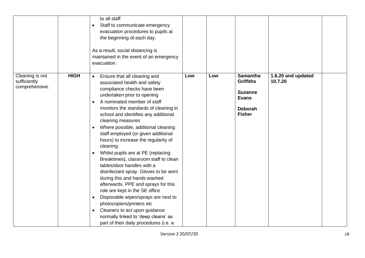|                                                   |             | to all staff<br>Staff to communicate emergency<br>evacuation procedures to pupils at<br>the beginning of each day.<br>As a result, social distancing is<br>maintained in the event of an emergency<br>evacuation.                                                                                                                                                                                                                                                                                                                                                                                                                                                                                                                                                                                                                                                                             |     |     |                                                                                                          |                               |  |
|---------------------------------------------------|-------------|-----------------------------------------------------------------------------------------------------------------------------------------------------------------------------------------------------------------------------------------------------------------------------------------------------------------------------------------------------------------------------------------------------------------------------------------------------------------------------------------------------------------------------------------------------------------------------------------------------------------------------------------------------------------------------------------------------------------------------------------------------------------------------------------------------------------------------------------------------------------------------------------------|-----|-----|----------------------------------------------------------------------------------------------------------|-------------------------------|--|
| Cleaning is not<br>sufficiently<br>comprehensive. | <b>HIGH</b> | Ensure that all cleaning and<br>$\bullet$<br>associated health and safety<br>compliance checks have been<br>undertaken prior to opening<br>A nominated member of staff<br>monitors the standards of cleaning in<br>school and identifies any additional<br>cleaning measures<br>Where possible, additional cleaning<br>staff employed (or given additional<br>hours) to increase the regularity of<br>cleaning<br>Whilst pupils are at PE (replacing<br>$\bullet$<br>Breaktimes), classroom staff to clean<br>tables/door handles with a<br>disinfectant spray. Gloves to be worn<br>during this and hands washed<br>afterwards. PPE and sprays for this<br>role are kept in the SE office<br>Disposable wipes/sprays are next to<br>$\bullet$<br>photocopiers/printers etc<br>Cleaners to act upon guidance<br>normally linked to 'deep cleans' as<br>part of their daily procedures (i.e. a | Low | Low | <b>Samantha</b><br><b>Griffiths</b><br><b>Suzanne</b><br><b>Evans</b><br><b>Deborah</b><br><b>Fisher</b> | 1.6.20 and updated<br>10.7.20 |  |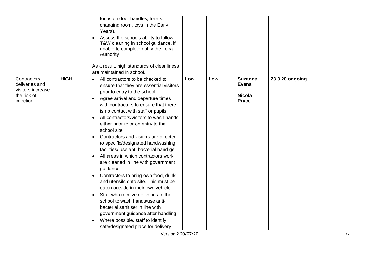|                                                                                  |             | focus on door handles, toilets,<br>changing room, toys in the Early<br>Years).<br>Assess the schools ability to follow<br>T&W cleaning in school guidance, if<br>unable to complete notify the Local<br>Authority<br>As a result, high standards of cleanliness<br>are maintained in school.                                                                                                                                                                                                                                                                                                                                                                                                                                                                                                                                                                                                                                                                |     |     |                                                                 |                 |  |
|----------------------------------------------------------------------------------|-------------|-------------------------------------------------------------------------------------------------------------------------------------------------------------------------------------------------------------------------------------------------------------------------------------------------------------------------------------------------------------------------------------------------------------------------------------------------------------------------------------------------------------------------------------------------------------------------------------------------------------------------------------------------------------------------------------------------------------------------------------------------------------------------------------------------------------------------------------------------------------------------------------------------------------------------------------------------------------|-----|-----|-----------------------------------------------------------------|-----------------|--|
| Contractors,<br>deliveries and<br>visitors increase<br>the risk of<br>infection. | <b>HIGH</b> | All contractors to be checked to<br>$\bullet$<br>ensure that they are essential visitors<br>prior to entry to the school<br>Agree arrival and departure times<br>with contractors to ensure that there<br>is no contact with staff or pupils<br>All contractors/visitors to wash hands<br>either prior to or on entry to the<br>school site<br>Contractors and visitors are directed<br>$\bullet$<br>to specific/designated handwashing<br>facilities/ use anti-bacterial hand gel<br>All areas in which contractors work<br>are cleaned in line with government<br>guidance<br>Contractors to bring own food, drink<br>$\bullet$<br>and utensils onto site. This must be<br>eaten outside in their own vehicle.<br>Staff who receive deliveries to the<br>$\bullet$<br>school to wash hands/use anti-<br>bacterial sanitiser in line with<br>government guidance after handling<br>Where possible, staff to identify<br>safe/designated place for delivery | Low | Low | <b>Suzanne</b><br><b>Evans</b><br><b>Nicola</b><br><b>Pryce</b> | 23.3.20 ongoing |  |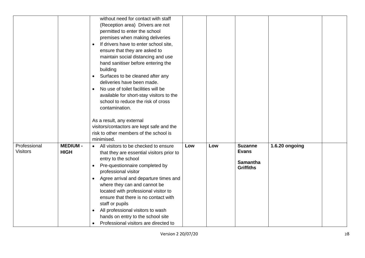|                                 |                | without need for contact with staff                |     |     |                                |                |  |
|---------------------------------|----------------|----------------------------------------------------|-----|-----|--------------------------------|----------------|--|
|                                 |                | (Reception area) Drivers are not                   |     |     |                                |                |  |
|                                 |                | permitted to enter the school                      |     |     |                                |                |  |
|                                 |                | premises when making deliveries                    |     |     |                                |                |  |
|                                 |                | If drivers have to enter school site,<br>$\bullet$ |     |     |                                |                |  |
|                                 |                | ensure that they are asked to                      |     |     |                                |                |  |
|                                 |                | maintain social distancing and use                 |     |     |                                |                |  |
|                                 |                | hand sanitiser before entering the                 |     |     |                                |                |  |
|                                 |                | building                                           |     |     |                                |                |  |
|                                 |                | Surfaces to be cleaned after any<br>$\bullet$      |     |     |                                |                |  |
|                                 |                | deliveries have been made.                         |     |     |                                |                |  |
|                                 |                | No use of toilet facilities will be                |     |     |                                |                |  |
|                                 |                | available for short-stay visitors to the           |     |     |                                |                |  |
|                                 |                | school to reduce the risk of cross                 |     |     |                                |                |  |
|                                 |                | contamination.                                     |     |     |                                |                |  |
|                                 |                |                                                    |     |     |                                |                |  |
|                                 |                | As a result, any external                          |     |     |                                |                |  |
|                                 |                | visitors/contactors are kept safe and the          |     |     |                                |                |  |
|                                 |                | risk to other members of the school is             |     |     |                                |                |  |
|                                 |                | minimised.                                         |     |     |                                |                |  |
| Professional<br><b>Visitors</b> | <b>MEDIUM-</b> | All visitors to be checked to ensure<br>$\bullet$  | Low | Low | <b>Suzanne</b><br><b>Evans</b> | 1.6.20 ongoing |  |
|                                 | <b>HIGH</b>    | that they are essential visitors prior to          |     |     |                                |                |  |
|                                 |                | entry to the school                                |     |     | <b>Samantha</b>                |                |  |
|                                 |                | Pre-questionnaire completed by                     |     |     | <b>Griffiths</b>               |                |  |
|                                 |                | professional visitor                               |     |     |                                |                |  |
|                                 |                | Agree arrival and departure times and              |     |     |                                |                |  |
|                                 |                | where they can and cannot be                       |     |     |                                |                |  |
|                                 |                | located with professional visitor to               |     |     |                                |                |  |
|                                 |                | ensure that there is no contact with               |     |     |                                |                |  |
|                                 |                | staff or pupils                                    |     |     |                                |                |  |
|                                 |                | All professional visitors to wash                  |     |     |                                |                |  |
|                                 |                | hands on entry to the school site                  |     |     |                                |                |  |
|                                 |                | Professional visitors are directed to              |     |     |                                |                |  |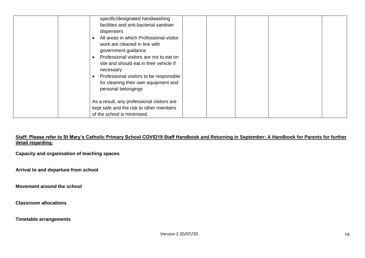| All areas in which Professional visitor<br>work are cleaned in line with<br>government guidance<br>Professional visitors are not to eat on<br>site and should eat in their vehicle if<br>necessary.<br>Professional visitors to be responsible<br>for cleaning their own equipment and |  |
|----------------------------------------------------------------------------------------------------------------------------------------------------------------------------------------------------------------------------------------------------------------------------------------|--|
| personal belongings<br>As a result, any professional visitors are<br>kept safe and the risk to other members<br>of the school is minimised.                                                                                                                                            |  |

**Staff: Please refer to St Mary's Catholic Primary School COVID19 Staff Handbook and Returning in September: A Handbook for Parents for further detail regarding:**

**Capacity and organisation of teaching spaces**

**Arrival to and departure from school**

**Movement around the school**

**Classroom allocations**

**Timetable arrangements**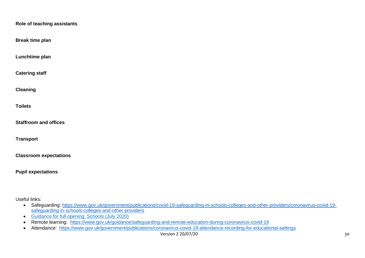| Role of teaching assistants   |
|-------------------------------|
| <b>Break time plan</b>        |
| Lunchtime plan                |
| <b>Catering staff</b>         |
| <b>Cleaning</b>               |
| <b>Toilets</b>                |
| <b>Staffroom and offices</b>  |
| <b>Transport</b>              |
| <b>Classroom expectations</b> |
| <b>Pupil expectations</b>     |
|                               |

Useful links:

- Safeguarding: [https://www.gov.uk/government/publications/covid-19-safeguarding-in-schools-colleges-and-other-providers/coronavirus-covid-19](https://www.gov.uk/government/publications/covid-19-safeguarding-in-schools-colleges-and-other-providers/coronavirus-covid-19-safeguarding-in-schools-colleges-and-other-providers) [safeguarding-in-schools-colleges-and-other-providers](https://www.gov.uk/government/publications/covid-19-safeguarding-in-schools-colleges-and-other-providers/coronavirus-covid-19-safeguarding-in-schools-colleges-and-other-providers)
- Guidance for full opening: Schools (July 2020)
- Remote learning: <https://www.gov.uk/guidance/safeguarding-and-remote-education-during-coronavirus-covid-19>
- Attendance: <https://www.gov.uk/government/publications/coronavirus-covid-19-attendance-recording-for-educational-settings>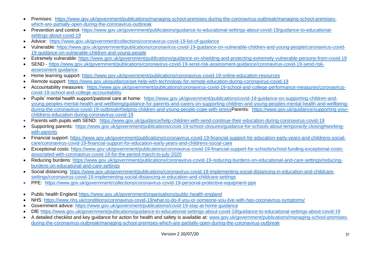- Premises: [https://www.gov.uk/government/publications/managing-school-premises-during-the-coronavirus-outbreak/managing-school-premises](https://www.gov.uk/government/publications/managing-school-premises-during-the-coronavirus-outbreak/managing-school-premises-which-are-partially-open-during-the-coronavirus-outbreak)[which-are-partially-open-during-the-coronavirus-outbreak](https://www.gov.uk/government/publications/managing-school-premises-during-the-coronavirus-outbreak/managing-school-premises-which-are-partially-open-during-the-coronavirus-outbreak)
- Prevention and control- [https://www.gov.uk/government/publications/guidance-to-educational-settings-about-covid-19/guidance-to-educational](https://www.gov.uk/government/publications/guidance-to-educational-settings-about-covid-19/guidance-to-educational-settings-about-covid-19)[settings-about-covid-19](https://www.gov.uk/government/publications/guidance-to-educational-settings-about-covid-19/guidance-to-educational-settings-about-covid-19)
- Advice: <https://www.gov.uk/government/collections/coronavirus-covid-19-list-of-guidance>
- Vulnerable: [https://www.gov.uk/government/publications/coronavirus-covid-19-guidance-on-vulnerable-children-and-young-people/coronavirus-covid-](https://www.gov.uk/government/publications/coronavirus-covid-19-guidance-on-vulnerable-children-and-young-people/coronavirus-covid-19-guidance-on-vulnerable-children-and-young-people)[19-guidance-on-vulnerable-children-and-young-people](https://www.gov.uk/government/publications/coronavirus-covid-19-guidance-on-vulnerable-children-and-young-people/coronavirus-covid-19-guidance-on-vulnerable-children-and-young-people)
- Extremely vulnerable:<https://www.gov.uk/government/publications/guidance-on-shielding-and-protecting-extremely-vulnerable-persons-from-covid-19>
- SEND [https://www.gov.uk/government/publications/coronavirus-covid-19-send-risk-assessment-guidance/coronavirus-covid-19-send-risk](https://www.gov.uk/government/publications/coronavirus-covid-19-send-risk-assessment-guidance/coronavirus-covid-19-send-risk-assessment-guidance)[assessment-guidance](https://www.gov.uk/government/publications/coronavirus-covid-19-send-risk-assessment-guidance/coronavirus-covid-19-send-risk-assessment-guidance)
- Home learning support:<https://www.gov.uk/government/publications/coronavirus-covid-19-online-education-resources>
- Remote support:<https://www.gov.uk/guidance/get-help-with-technology-for-remote-education-during-coronavirus-covid-19>
- Accountability measures: [https://www.gov.uk/government/publications/coronavirus-covid-19-school-and-college-performance-measures/coronavirus](https://www.gov.uk/government/publications/coronavirus-covid-19-school-and-college-performance-measures/coronavirus-covid-19-school-and-college-accountability)[covid-19-school-and-college-accountability](https://www.gov.uk/government/publications/coronavirus-covid-19-school-and-college-performance-measures/coronavirus-covid-19-school-and-college-accountability)
- Pupils' mental health support/pastoral care at home: [https://www.gov.uk/government/publications/covid-19-guidance-on-supporting-children-and](https://www.gov.uk/government/publications/covid-19-guidance-on-supporting-children-and-young-peoples-mental-health-and-wellbeing/guidance-for-parents-and-carers-on-supporting-children-and-young-peoples-mental-health-and-wellbeing-during-the-coronavirus-covid-19-outbreak#helping-children-and-young-people-cope-with-stress)[young-peoples-mental-health-and-wellbeing/guidance-for-parents-and-carers-on-supporting-children-and-young-peoples-mental-health-and-wellbeing](https://www.gov.uk/government/publications/covid-19-guidance-on-supporting-children-and-young-peoples-mental-health-and-wellbeing/guidance-for-parents-and-carers-on-supporting-children-and-young-peoples-mental-health-and-wellbeing-during-the-coronavirus-covid-19-outbreak#helping-children-and-young-people-cope-with-stress)[during-the-coronavirus-covid-19-outbreak#helping-children-and-young-people-cope-with-stressP](https://www.gov.uk/government/publications/covid-19-guidance-on-supporting-children-and-young-peoples-mental-health-and-wellbeing/guidance-for-parents-and-carers-on-supporting-children-and-young-peoples-mental-health-and-wellbeing-during-the-coronavirus-covid-19-outbreak#helping-children-and-young-people-cope-with-stress)arents: [https://www.gov.uk/guidance/supporting-your](https://www.gov.uk/guidance/supporting-your-childrens-education-during-coronavirus-covid-19)[childrens-education-during-coronavirus-covid-19](https://www.gov.uk/guidance/supporting-your-childrens-education-during-coronavirus-covid-19)
- Parents with pupils with SEND: <https://www.gov.uk/guidance/help-children-with-send-continue-their-education-during-coronavirus-covid-19>
- Supporting parents: [https://www.gov.uk/government/publications/covid-19-school-closures/guidance-for-schools-about-temporarily-closing#working](https://www.gov.uk/government/publications/covid-19-school-closures/guidance-for-schools-about-temporarily-closing#working-with-parents)[with-parents](https://www.gov.uk/government/publications/covid-19-school-closures/guidance-for-schools-about-temporarily-closing#working-with-parents)
- Financial support: [https://www.gov.uk/government/publications/coronavirus-covid-19-financial-support-for-education-early-years-and-childrens-social](https://www.gov.uk/government/publications/coronavirus-covid-19-financial-support-for-education-early-years-and-childrens-social-care/coronavirus-covid-19-financial-support-for-education-early-years-and-childrens-social-care)[care/coronavirus-covid-19-financial-support-for-education-early-years-and-childrens-social-care](https://www.gov.uk/government/publications/coronavirus-covid-19-financial-support-for-education-early-years-and-childrens-social-care/coronavirus-covid-19-financial-support-for-education-early-years-and-childrens-social-care)
- Exceptional costs: [https://www.gov.uk/government/publications/coronavirus-covid-19-financial-support-for-schools/school-funding-exceptional-costs](https://www.gov.uk/government/publications/coronavirus-covid-19-financial-support-for-schools/school-funding-exceptional-costs-associated-with-coronavirus-covid-19-for-the-period-march-to-july-2020)[associated-with-coronavirus-covid-19-for-the-period-march-to-july-2020](https://www.gov.uk/government/publications/coronavirus-covid-19-financial-support-for-schools/school-funding-exceptional-costs-associated-with-coronavirus-covid-19-for-the-period-march-to-july-2020)
- Reducing burdens: [https://www.gov.uk/government/publications/coronavirus-covid-19-reducing-burdens-on-educational-and-care-settings/reducing](https://www.gov.uk/government/publications/coronavirus-covid-19-reducing-burdens-on-educational-and-care-settings/reducing-burdens-on-educational-and-care-settings)[burdens-on-educational-and-care-settings](https://www.gov.uk/government/publications/coronavirus-covid-19-reducing-burdens-on-educational-and-care-settings/reducing-burdens-on-educational-and-care-settings)
- Social distancing: [https://www.gov.uk/government/publications/coronavirus-covid-19-implementing-social-distancing-in-education-and-childcare](https://www.gov.uk/government/publications/coronavirus-covid-19-implementing-social-distancing-in-education-and-childcare-settings/coronavirus-covid-19-implementing-social-distancing-in-education-and-childcare-settings)[settings/coronavirus-covid-19-implementing-social-distancing-in-education-and-childcare-settings](https://www.gov.uk/government/publications/coronavirus-covid-19-implementing-social-distancing-in-education-and-childcare-settings/coronavirus-covid-19-implementing-social-distancing-in-education-and-childcare-settings)
- PPE: <https://www.gov.uk/government/collections/coronavirus-covid-19-personal-protective-equipment-ppe>
- Public health England<https://www.gov.uk/government/organisations/public-health-england>
- NHS:<https://www.nhs.uk/conditions/coronavirus-covid-19/what-to-do-if-you-or-someone-you-live-with-has-coronavirus-symptoms/>
- Government advice:<https://www.gov.uk/government/publications/covid-19-stay-at-home-guidance>
- DfE<https://www.gov.uk/government/publications/guidance-to-educational-settings-about-covid-19/guidance-to-educational-settings-about-covid-19>
- A detailed checklist and key guidance for action for health and safety is available at: [www.gov.uk/government/publications/managing-school-premises](http://www.gov.uk/government/publications/managing-school-premises-during-the-coronavirus-outbreak/managing-school-premises-which-are-partially-open-during-the-coronavirus-outbreak)[during-the-coronavirus-outbreak/managing-school-premises-which-are-partially-open-during-the-coronavirus-outbreak](http://www.gov.uk/government/publications/managing-school-premises-during-the-coronavirus-outbreak/managing-school-premises-which-are-partially-open-during-the-coronavirus-outbreak)